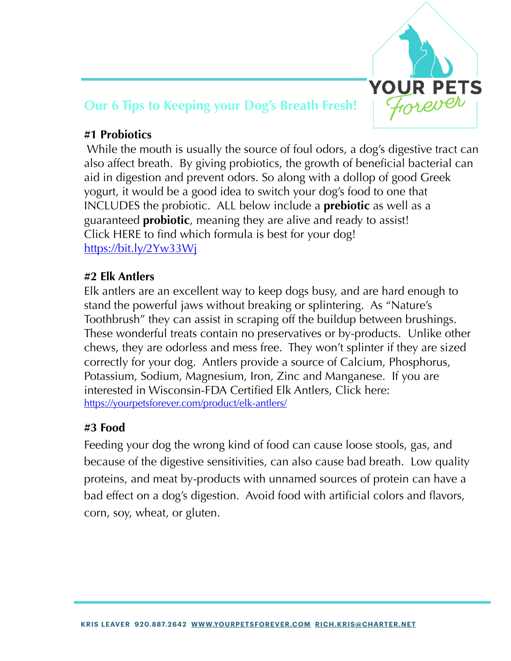

# **Our 6 Tips to Keeping your Dog's Breath Fresh!**

## **#1 Probiotics**

 While the mouth is usually the source of foul odors, a dog's digestive tract can also affect breath. By giving probiotics, the growth of beneficial bacterial can aid in digestion and prevent odors. So along with a dollop of good Greek yogurt, it would be a good idea to switch your dog's food to one that INCLUDES the probiotic. ALL below include a **prebiotic** as well as a guaranteed **probiotic**, meaning they are alive and ready to assist! Click HERE to find which formula is best for your dog! https://bit.ly/2Yw33Wj

### **#2 Elk Antlers**

Elk antlers are an excellent way to keep dogs busy, and are hard enough to stand the powerful jaws without breaking or splintering. As "Nature's Toothbrush" they can assist in scraping off the buildup between brushings. These wonderful treats contain no preservatives or by-products. Unlike other chews, they are odorless and mess free. They won't splinter if they are sized correctly for your dog. Antlers provide a source of Calcium, Phosphorus, Potassium, Sodium, Magnesium, Iron, Zinc and Manganese. If you are interested in Wisconsin-FDA Certified Elk Antlers, Click here: <https://yourpetsforever.com/product/elk-antlers/>

### **#3 Food**

Feeding your dog the wrong kind of food can cause loose stools, gas, and because of the digestive sensitivities, can also cause bad breath. Low quality proteins, and meat by-products with unnamed sources of protein can have a bad effect on a dog's digestion. Avoid food with artificial colors and flavors, corn, soy, wheat, or gluten.